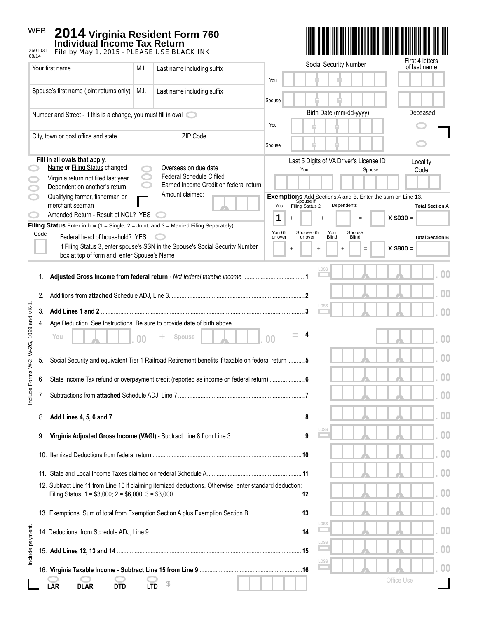## WEB **2014 Virginia Resident Form 760 Individual Income Tax Return** 2601031 File by May 1, 2015 - PLEASE USE BLACK INK Include payment. 2601031 08/14 First 4 letters Social Security Number of last name Your first name M.I. | Last name including suffix - - You Spouse's first name (joint returns only)  $\parallel$  M.I.  $\parallel$  Last name including suffix - - Spouse Birth Date (mm-dd-yyyy) Deceased Number and Street - If this is a change, you must fill in oval You - - City, town or post office and state **ZIP** Code - - **Spouse Fill in all ovals that apply**: Last 5 Digits of VA Driver's License ID Locality Name or Filing Status changed Overseas on due date You Spouse Code Federal Schedule C filed Virginia return not filed last year Earned Income Credit on federal return Dependent on another's return Amount claimed: **Exemptions** Add Sections A and B. Enter the sum on Line 13. Qualifying farmer, fisherman or Spouse if<br>You Filing Status 2 Dependents merchant seaman *,* **Total Section A** Amended Return - Result of NOL? YES **1** +  $\vert$  +  $\vert$  =  $\vert$  X \$930 = **Filing Status** Enter in box (1 = Single, 2 = Joint, and 3 = Married Filing Separately) You 65 Spouse 65 Code You Blind Spouse Blind Federal head of household? YES  $\bigcirc$ or over or over **Total Section B** If Filing Status 3, enter spouse's SSN in the Spouse's Social Security Number + + + = **X \$800 =**  box at top of form and, enter Spouse's Name\_\_\_\_\_\_\_\_\_\_\_\_\_\_\_\_\_\_\_\_\_\_\_\_\_\_\_\_\_\_\_ *, ,* **. 00** 1. **Adjusted Gross Income from federal return** *- Not federal taxable income* .......................................**1** *, ,* **. 00** 2. Additions from **attached** Schedule ADJ, Line 3. ...................................................................................**2** Include Forms W-2, W-2G, 1099 and VK-1. nclude Forms W-2. W-2G. 1099 and VK-1. *, ,* **. 00** 3. **Add Lines 1 and 2** ...............................................................................................................................**3** 4. Age Deduction. See Instructions. Be sure to provide date of birth above.  $\bullet$  **Spouse 1. .** 00 <sup>+</sup> Spouse 1. 00 <sup>=</sup> *,* **. 00** + **4** *, ,* **. 00** 5. Social Security and equivalent Tier 1 Railroad Retirement benefits if taxable on federal return ...........**5** *, ,* **. 00** 6 State Income Tax refund or overpayment credit (reported as income on federal return) ......................**6** 7 Subtractions from **attached** Schedule ADJ, Line 7 ...............................................................................**7** *, ,* **. 00** *, ,* **. 00** 8. **Add Lines 4, 5, 6 and 7** ........................................................................................................................**8** *, ,* **. 00** 9. **Virginia Adjusted Gross Income (VAGI) -** Subtract Line 8 from Line 3 ..............................................**9** 10. Itemized Deductions from federal return .............................................................................................**10** *, ,* **. 00** *, ,* **. 00** 11. State and Local Income Taxes claimed on federal Schedule A ........................................................... **11** 12. Subtract Line 11 from Line 10 if claiming itemized deductions. Otherwise, enter standard deduction: *, ,* **. 00** Filing Status: 1 = \$3,000; 2 = \$6,000; 3 = \$3,000 ................................................................................**12** *, ,* **. 00** 13. Exemptions. Sum of total from Exemption Section A plus Exemption Section B .................................**13** nclude payment *, ,* **. 00** 14. Deductions from Schedule ADJ, Line 9 ...............................................................................................**14** *, ,* **. 00** 15. **Add Lines 12, 13 and 14** ....................................................................................................................**15** *, ,* **. 00** 16. **Virginia Taxable Income - Subtract Line 15 from Line 9** ................................................................**16** Office Use **LAR DLAR DTD LTD** \$\_\_\_\_\_\_\_\_\_